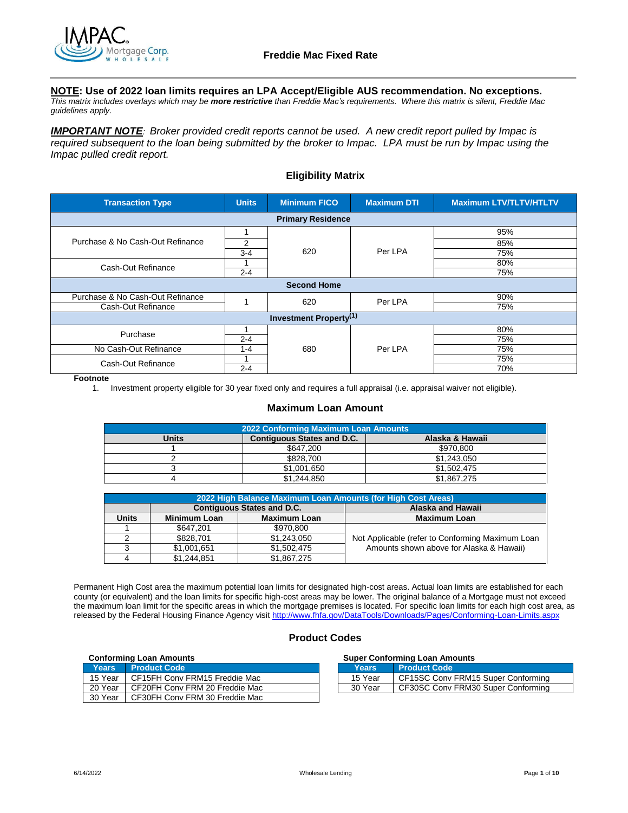

## **NOTE: Use of 2022 loan limits requires an LPA Accept/Eligible AUS recommendation. No exceptions.**

*This matrix includes overlays which may be more restrictive than Freddie Mac's requirements. Where this matrix is silent, Freddie Mac guidelines apply.*

*IMPORTANT NOTE: Broker provided credit reports cannot be used. A new credit report pulled by Impac is required subsequent to the loan being submitted by the broker to Impac. LPA must be run by Impac using the Impac pulled credit report.*

## **Eligibility Matrix**

| <b>Transaction Type</b>                   | <b>Units</b> | <b>Minimum FICO</b>      | <b>Maximum DTI</b> | <b>Maximum LTV/TLTV/HTLTV</b> |
|-------------------------------------------|--------------|--------------------------|--------------------|-------------------------------|
|                                           |              | <b>Primary Residence</b> |                    |                               |
|                                           |              |                          | Per LPA            | 95%                           |
| Purchase & No Cash-Out Refinance          | 2            |                          |                    | 85%                           |
|                                           | $3-4$        | 620                      |                    | 75%                           |
| Cash-Out Refinance                        |              |                          |                    | 80%                           |
|                                           | $2 - 4$      |                          |                    | 75%                           |
|                                           |              | <b>Second Home</b>       |                    |                               |
| Purchase & No Cash-Out Refinance          |              | 620                      | Per LPA            | 90%                           |
| Cash-Out Refinance                        |              |                          |                    | 75%                           |
| <b>Investment Property</b> <sup>(1)</sup> |              |                          |                    |                               |
| Purchase                                  |              |                          |                    | 80%                           |
|                                           | $2 - 4$      |                          |                    | 75%                           |
| No Cash-Out Refinance                     | 1-4          | 680                      | Per LPA            | 75%                           |
| Cash-Out Refinance                        |              |                          |                    | 75%                           |
|                                           | $2 - 4$      |                          |                    | 70%                           |

**Footnote**

1. Investment property eligible for 30 year fixed only and requires a full appraisal (i.e. appraisal waiver not eligible).

#### **Maximum Loan Amount**

| 2022 Conforming Maximum Loan Amounts |                                   |                 |  |
|--------------------------------------|-----------------------------------|-----------------|--|
| Units                                | <b>Contiguous States and D.C.</b> | Alaska & Hawaii |  |
|                                      | \$647.200                         | \$970,800       |  |
|                                      | \$828,700                         | \$1,243,050     |  |
|                                      | \$1,001,650                       | \$1,502,475     |  |
|                                      | \$1.244.850                       | \$1.867.275     |  |

|       | 2022 High Balance Maximum Loan Amounts (for High Cost Areas) |                                   |                                                  |  |
|-------|--------------------------------------------------------------|-----------------------------------|--------------------------------------------------|--|
|       |                                                              | <b>Contiguous States and D.C.</b> | Alaska and Hawaii                                |  |
| Units | <b>Minimum Loan</b>                                          | <b>Maximum Loan</b>               | <b>Maximum Loan</b>                              |  |
|       | \$647.201                                                    | \$970.800                         |                                                  |  |
|       | \$828,701                                                    | \$1,243,050                       | Not Applicable (refer to Conforming Maximum Loan |  |
|       | \$1,001,651                                                  | \$1,502,475                       | Amounts shown above for Alaska & Hawaii)         |  |
|       | \$1,244,851                                                  | \$1,867,275                       |                                                  |  |

Permanent High Cost area the maximum potential loan limits for designated high-cost areas. Actual loan limits are established for each county (or equivalent) and the loan limits for specific high-cost areas may be lower. The original balance of a Mortgage must not exceed the maximum loan limit for the specific areas in which the mortgage premises is located. For specific loan limits for each high cost area, as released by the Federal Housing Finance Agency visi[t http://www.fhfa.gov/DataTools/Downloads/Pages/Conforming-Loan-Limits.aspx](http://www.fhfa.gov/DataTools/Downloads/Pages/Conforming-Loan-Limits.aspx)

## **Product Codes**

#### **Conforming Loan Amounts**

| <b>Years</b> | <b>Product Code</b>            | Years   | <b>Product Code</b>                |
|--------------|--------------------------------|---------|------------------------------------|
| 15 Year      | CF15FH Conv FRM15 Freddie Mac  | 15 Year | CF15SC Conv FRM15 Super Conforming |
| 20 Year      | CF20FH Conv FRM 20 Freddie Mac | 30 Year | CF30SC Conv FRM30 Super Conforming |
| 30 Year      | CF30FH Conv FRM 30 Freddie Mac |         |                                    |

|  | <b>Super Conforming Loan Amounts</b> |
|--|--------------------------------------|
|  |                                      |

| Years   | <b>Product Code</b>                |
|---------|------------------------------------|
| 15 Year | CF15SC Conv FRM15 Super Conforming |
| 30 Year | CF30SC Conv FRM30 Super Conforming |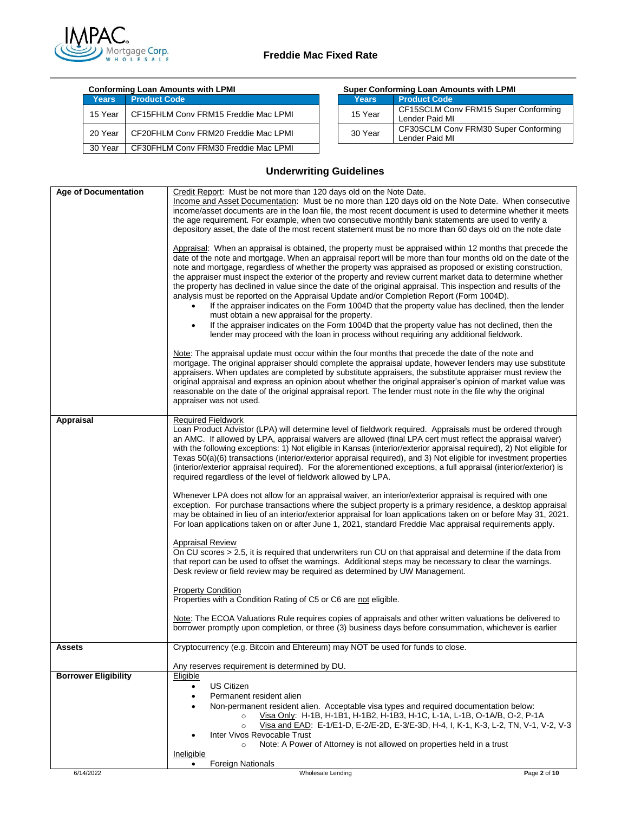

## **Freddie Mac Fixed Rate**

| <b>Conforming Loan Amounts with LPMI</b> |                                      | <b>Super Conforming Loan Amounts with LPMI</b> |                                                        |
|------------------------------------------|--------------------------------------|------------------------------------------------|--------------------------------------------------------|
| Years                                    | <b>Product Code</b>                  | <b>Years</b>                                   | <b>Product Code</b>                                    |
| 15 Year                                  | CF15FHLM Conv FRM15 Freddie Mac LPMI | 15 Year                                        | CF15SCLM Conv FRM15 Super Conforming<br>Lender Paid MI |
| 20 Year                                  | CF20FHLM Conv FRM20 Freddie Mac LPMI | 30 Year                                        | CF30SCLM Conv FRM30 Super Conforming<br>Lender Paid MI |
| 30 Year                                  | CF30FHLM Conv FRM30 Freddie Mac LPMI |                                                |                                                        |

| <b>Super Conforming Loan Amounts with LPMI</b> |                                                        |  |
|------------------------------------------------|--------------------------------------------------------|--|
| <b>Years</b>                                   | <b>Product Code</b>                                    |  |
| 15 Year                                        | CF15SCLM Conv FRM15 Super Conforming<br>Lender Paid MI |  |
| 30 Year                                        | CF30SCLM Conv FRM30 Super Conforming<br>Lender Paid MI |  |

# **Underwriting Guidelines**

| <b>Age of Documentation</b> | Credit Report: Must be not more than 120 days old on the Note Date.<br>Income and Asset Documentation: Must be no more than 120 days old on the Note Date. When consecutive<br>income/asset documents are in the loan file, the most recent document is used to determine whether it meets<br>the age requirement. For example, when two consecutive monthly bank statements are used to verify a<br>depository asset, the date of the most recent statement must be no more than 60 days old on the note date<br>Appraisal: When an appraisal is obtained, the property must be appraised within 12 months that precede the<br>date of the note and mortgage. When an appraisal report will be more than four months old on the date of the<br>note and mortgage, regardless of whether the property was appraised as proposed or existing construction,<br>the appraiser must inspect the exterior of the property and review current market data to determine whether<br>the property has declined in value since the date of the original appraisal. This inspection and results of the<br>analysis must be reported on the Appraisal Update and/or Completion Report (Form 1004D).<br>If the appraiser indicates on the Form 1004D that the property value has declined, then the lender<br>must obtain a new appraisal for the property.<br>If the appraiser indicates on the Form 1004D that the property value has not declined, then the<br>$\bullet$<br>lender may proceed with the loan in process without requiring any additional fieldwork.<br>Note: The appraisal update must occur within the four months that precede the date of the note and<br>mortgage. The original appraiser should complete the appraisal update, however lenders may use substitute<br>appraisers. When updates are completed by substitute appraisers, the substitute appraiser must review the<br>original appraisal and express an opinion about whether the original appraiser's opinion of market value was<br>reasonable on the date of the original appraisal report. The lender must note in the file why the original<br>appraiser was not used. |              |
|-----------------------------|----------------------------------------------------------------------------------------------------------------------------------------------------------------------------------------------------------------------------------------------------------------------------------------------------------------------------------------------------------------------------------------------------------------------------------------------------------------------------------------------------------------------------------------------------------------------------------------------------------------------------------------------------------------------------------------------------------------------------------------------------------------------------------------------------------------------------------------------------------------------------------------------------------------------------------------------------------------------------------------------------------------------------------------------------------------------------------------------------------------------------------------------------------------------------------------------------------------------------------------------------------------------------------------------------------------------------------------------------------------------------------------------------------------------------------------------------------------------------------------------------------------------------------------------------------------------------------------------------------------------------------------------------------------------------------------------------------------------------------------------------------------------------------------------------------------------------------------------------------------------------------------------------------------------------------------------------------------------------------------------------------------------------------------------------------------------------------------------------------------------------------------------------|--------------|
|                             |                                                                                                                                                                                                                                                                                                                                                                                                                                                                                                                                                                                                                                                                                                                                                                                                                                                                                                                                                                                                                                                                                                                                                                                                                                                                                                                                                                                                                                                                                                                                                                                                                                                                                                                                                                                                                                                                                                                                                                                                                                                                                                                                                    |              |
| Appraisal                   | <b>Required Fieldwork</b><br>Loan Product Advistor (LPA) will determine level of fieldwork required. Appraisals must be ordered through<br>an AMC. If allowed by LPA, appraisal waivers are allowed (final LPA cert must reflect the appraisal waiver)<br>with the following exceptions: 1) Not eligible in Kansas (interior/exterior appraisal required), 2) Not eligible for<br>Texas 50(a)(6) transactions (interior/exterior appraisal required), and 3) Not eligible for investment properties<br>(interior/exterior appraisal required). For the aforementioned exceptions, a full appraisal (interior/exterior) is<br>required regardless of the level of fieldwork allowed by LPA.                                                                                                                                                                                                                                                                                                                                                                                                                                                                                                                                                                                                                                                                                                                                                                                                                                                                                                                                                                                                                                                                                                                                                                                                                                                                                                                                                                                                                                                         |              |
|                             | Whenever LPA does not allow for an appraisal waiver, an interior/exterior appraisal is required with one<br>exception. For purchase transactions where the subject property is a primary residence, a desktop appraisal<br>may be obtained in lieu of an interior/exterior appraisal for loan applications taken on or before May 31, 2021.<br>For loan applications taken on or after June 1, 2021, standard Freddie Mac appraisal requirements apply.                                                                                                                                                                                                                                                                                                                                                                                                                                                                                                                                                                                                                                                                                                                                                                                                                                                                                                                                                                                                                                                                                                                                                                                                                                                                                                                                                                                                                                                                                                                                                                                                                                                                                            |              |
|                             | <b>Appraisal Review</b><br>On CU scores > 2.5, it is required that underwriters run CU on that appraisal and determine if the data from<br>that report can be used to offset the warnings. Additional steps may be necessary to clear the warnings.<br>Desk review or field review may be required as determined by UW Management.                                                                                                                                                                                                                                                                                                                                                                                                                                                                                                                                                                                                                                                                                                                                                                                                                                                                                                                                                                                                                                                                                                                                                                                                                                                                                                                                                                                                                                                                                                                                                                                                                                                                                                                                                                                                                 |              |
|                             | <b>Property Condition</b><br>Properties with a Condition Rating of C5 or C6 are not eligible.                                                                                                                                                                                                                                                                                                                                                                                                                                                                                                                                                                                                                                                                                                                                                                                                                                                                                                                                                                                                                                                                                                                                                                                                                                                                                                                                                                                                                                                                                                                                                                                                                                                                                                                                                                                                                                                                                                                                                                                                                                                      |              |
|                             | Note: The ECOA Valuations Rule requires copies of appraisals and other written valuations be delivered to<br>borrower promptly upon completion, or three (3) business days before consummation, whichever is earlier                                                                                                                                                                                                                                                                                                                                                                                                                                                                                                                                                                                                                                                                                                                                                                                                                                                                                                                                                                                                                                                                                                                                                                                                                                                                                                                                                                                                                                                                                                                                                                                                                                                                                                                                                                                                                                                                                                                               |              |
| Assets                      | Cryptocurrency (e.g. Bitcoin and Ehtereum) may NOT be used for funds to close.                                                                                                                                                                                                                                                                                                                                                                                                                                                                                                                                                                                                                                                                                                                                                                                                                                                                                                                                                                                                                                                                                                                                                                                                                                                                                                                                                                                                                                                                                                                                                                                                                                                                                                                                                                                                                                                                                                                                                                                                                                                                     |              |
|                             |                                                                                                                                                                                                                                                                                                                                                                                                                                                                                                                                                                                                                                                                                                                                                                                                                                                                                                                                                                                                                                                                                                                                                                                                                                                                                                                                                                                                                                                                                                                                                                                                                                                                                                                                                                                                                                                                                                                                                                                                                                                                                                                                                    |              |
|                             | Any reserves requirement is determined by DU.                                                                                                                                                                                                                                                                                                                                                                                                                                                                                                                                                                                                                                                                                                                                                                                                                                                                                                                                                                                                                                                                                                                                                                                                                                                                                                                                                                                                                                                                                                                                                                                                                                                                                                                                                                                                                                                                                                                                                                                                                                                                                                      |              |
| <b>Borrower Eligibility</b> | Eligible<br><b>US Citizen</b><br>$\bullet$<br>Permanent resident alien<br>٠<br>Non-permanent resident alien. Acceptable visa types and required documentation below:<br>Visa Only: H-1B, H-1B1, H-1B2, H-1B3, H-1C, L-1A, L-1B, O-1A/B, O-2, P-1A<br>$\circ$<br>Visa and EAD: E-1/E1-D, E-2/E-2D, E-3/E-3D, H-4, I, K-1, K-3, L-2, TN, V-1, V-2, V-3<br>$\circ$<br>Inter Vivos Revocable Trust<br>Note: A Power of Attorney is not allowed on properties held in a trust<br>$\circ$<br>Ineligible                                                                                                                                                                                                                                                                                                                                                                                                                                                                                                                                                                                                                                                                                                                                                                                                                                                                                                                                                                                                                                                                                                                                                                                                                                                                                                                                                                                                                                                                                                                                                                                                                                                  |              |
| 6/14/2022                   | <b>Foreign Nationals</b><br>$\bullet$<br>Wholesale Lending                                                                                                                                                                                                                                                                                                                                                                                                                                                                                                                                                                                                                                                                                                                                                                                                                                                                                                                                                                                                                                                                                                                                                                                                                                                                                                                                                                                                                                                                                                                                                                                                                                                                                                                                                                                                                                                                                                                                                                                                                                                                                         | Page 2 of 10 |
|                             |                                                                                                                                                                                                                                                                                                                                                                                                                                                                                                                                                                                                                                                                                                                                                                                                                                                                                                                                                                                                                                                                                                                                                                                                                                                                                                                                                                                                                                                                                                                                                                                                                                                                                                                                                                                                                                                                                                                                                                                                                                                                                                                                                    |              |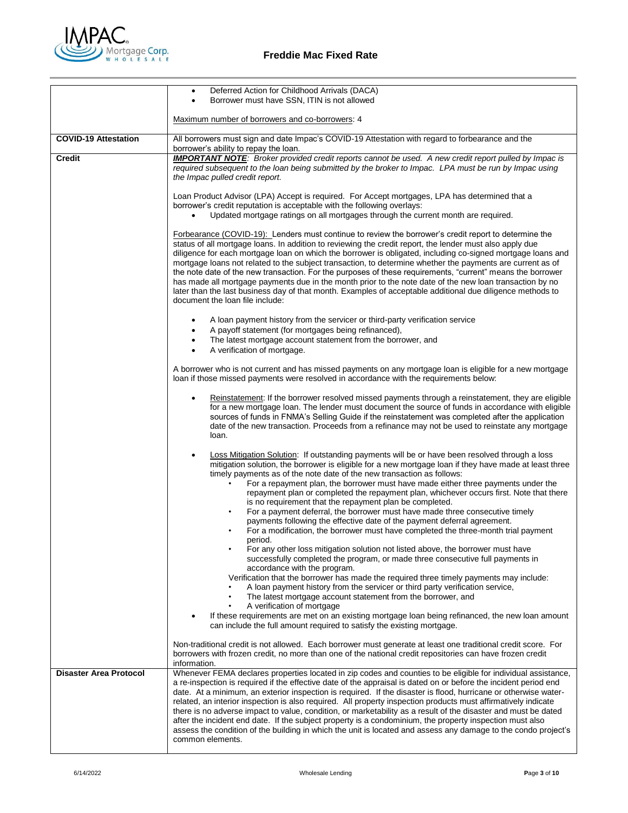

|                               | Deferred Action for Childhood Arrivals (DACA)<br>$\bullet$<br>Borrower must have SSN, ITIN is not allowed<br>$\bullet$                                                                                                                                                                                                                                                                                                                                                                                                                                                                                                                                                                                                                                                                                                                     |
|-------------------------------|--------------------------------------------------------------------------------------------------------------------------------------------------------------------------------------------------------------------------------------------------------------------------------------------------------------------------------------------------------------------------------------------------------------------------------------------------------------------------------------------------------------------------------------------------------------------------------------------------------------------------------------------------------------------------------------------------------------------------------------------------------------------------------------------------------------------------------------------|
|                               | Maximum number of borrowers and co-borrowers: 4                                                                                                                                                                                                                                                                                                                                                                                                                                                                                                                                                                                                                                                                                                                                                                                            |
| <b>COVID-19 Attestation</b>   | All borrowers must sign and date Impac's COVID-19 Attestation with regard to forbearance and the<br>borrower's ability to repay the loan.                                                                                                                                                                                                                                                                                                                                                                                                                                                                                                                                                                                                                                                                                                  |
| <b>Credit</b>                 | <b>IMPORTANT NOTE:</b> Broker provided credit reports cannot be used. A new credit report pulled by Impac is<br>required subsequent to the loan being submitted by the broker to Impac. LPA must be run by Impac using<br>the Impac pulled credit report.                                                                                                                                                                                                                                                                                                                                                                                                                                                                                                                                                                                  |
|                               | Loan Product Advisor (LPA) Accept is required. For Accept mortgages, LPA has determined that a<br>borrower's credit reputation is acceptable with the following overlays:<br>Updated mortgage ratings on all mortgages through the current month are required.                                                                                                                                                                                                                                                                                                                                                                                                                                                                                                                                                                             |
|                               | <b>Forbearance (COVID-19):</b> Lenders must continue to review the borrower's credit report to determine the<br>status of all mortgage loans. In addition to reviewing the credit report, the lender must also apply due<br>diligence for each mortgage loan on which the borrower is obligated, including co-signed mortgage loans and<br>mortgage loans not related to the subject transaction, to determine whether the payments are current as of<br>the note date of the new transaction. For the purposes of these requirements, "current" means the borrower<br>has made all mortgage payments due in the month prior to the note date of the new loan transaction by no<br>later than the last business day of that month. Examples of acceptable additional due diligence methods to<br>document the loan file include:           |
|                               | A loan payment history from the servicer or third-party verification service                                                                                                                                                                                                                                                                                                                                                                                                                                                                                                                                                                                                                                                                                                                                                               |
|                               | A payoff statement (for mortgages being refinanced),<br>The latest mortgage account statement from the borrower, and<br>A verification of mortgage.                                                                                                                                                                                                                                                                                                                                                                                                                                                                                                                                                                                                                                                                                        |
|                               | A borrower who is not current and has missed payments on any mortgage loan is eligible for a new mortgage<br>loan if those missed payments were resolved in accordance with the requirements below:                                                                                                                                                                                                                                                                                                                                                                                                                                                                                                                                                                                                                                        |
|                               | Reinstatement: If the borrower resolved missed payments through a reinstatement, they are eligible<br>for a new mortgage loan. The lender must document the source of funds in accordance with eligible<br>sources of funds in FNMA's Selling Guide if the reinstatement was completed after the application<br>date of the new transaction. Proceeds from a refinance may not be used to reinstate any mortgage<br>loan.                                                                                                                                                                                                                                                                                                                                                                                                                  |
|                               | Loss Mitigation Solution: If outstanding payments will be or have been resolved through a loss<br>$\bullet$<br>mitigation solution, the borrower is eligible for a new mortgage loan if they have made at least three<br>timely payments as of the note date of the new transaction as follows:<br>For a repayment plan, the borrower must have made either three payments under the<br>repayment plan or completed the repayment plan, whichever occurs first. Note that there<br>is no requirement that the repayment plan be completed.<br>For a payment deferral, the borrower must have made three consecutive timely<br>$\bullet$<br>payments following the effective date of the payment deferral agreement.<br>For a modification, the borrower must have completed the three-month trial payment                                  |
|                               | period.<br>For any other loss mitigation solution not listed above, the borrower must have<br>successfully completed the program, or made three consecutive full payments in<br>accordance with the program.<br>Verification that the borrower has made the required three timely payments may include:                                                                                                                                                                                                                                                                                                                                                                                                                                                                                                                                    |
|                               | A loan payment history from the servicer or third party verification service,<br>The latest mortgage account statement from the borrower, and<br>٠<br>A verification of mortgage<br>If these requirements are met on an existing mortgage loan being refinanced, the new loan amount                                                                                                                                                                                                                                                                                                                                                                                                                                                                                                                                                       |
|                               | can include the full amount required to satisfy the existing mortgage.<br>Non-traditional credit is not allowed. Each borrower must generate at least one traditional credit score. For<br>borrowers with frozen credit, no more than one of the national credit repositories can have frozen credit<br>information.                                                                                                                                                                                                                                                                                                                                                                                                                                                                                                                       |
| <b>Disaster Area Protocol</b> | Whenever FEMA declares properties located in zip codes and counties to be eligible for individual assistance,<br>a re-inspection is required if the effective date of the appraisal is dated on or before the incident period end<br>date. At a minimum, an exterior inspection is required. If the disaster is flood, hurricane or otherwise water-<br>related, an interior inspection is also required. All property inspection products must affirmatively indicate<br>there is no adverse impact to value, condition, or marketability as a result of the disaster and must be dated<br>after the incident end date. If the subject property is a condominium, the property inspection must also<br>assess the condition of the building in which the unit is located and assess any damage to the condo project's<br>common elements. |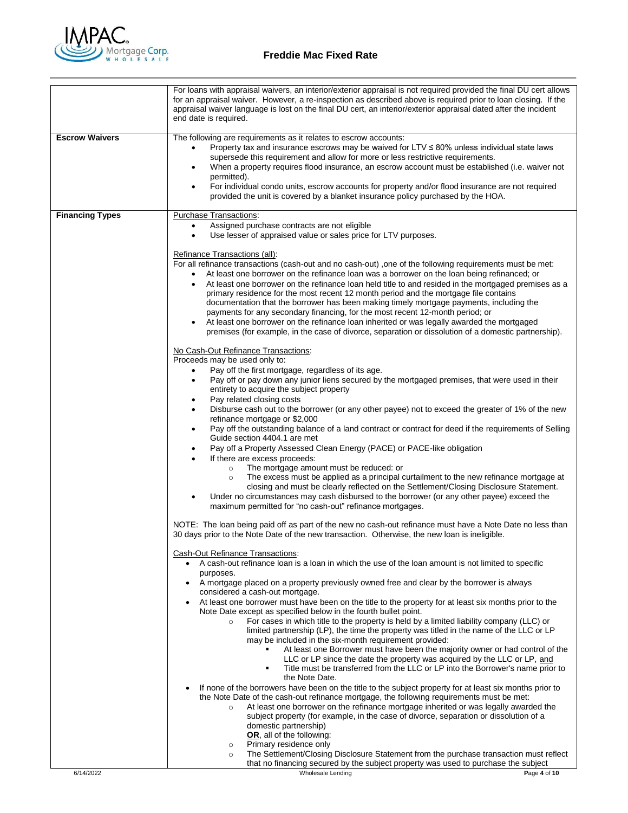

|                        | For loans with appraisal waivers, an interior/exterior appraisal is not required provided the final DU cert allows<br>for an appraisal waiver. However, a re-inspection as described above is required prior to loan closing. If the<br>appraisal waiver language is lost on the final DU cert, an interior/exterior appraisal dated after the incident<br>end date is required.                                                                                                                                                                                                                                                                                                                                                                                                                                                                                                                                                                                                                                                                                                                                                                                                                                                                                                                                                                                                                                                                                                                                                                                                                                                                                                                                                                                                                                                                                                                                                                                                                                                                                                                                                                                                                                                                                                                                                                                                                                                                                                                                                                                                                                                                                                                                                                                                                                                                                                                                                                                                                                                                                                                                                                                                                                                                                                                                                                                           |
|------------------------|----------------------------------------------------------------------------------------------------------------------------------------------------------------------------------------------------------------------------------------------------------------------------------------------------------------------------------------------------------------------------------------------------------------------------------------------------------------------------------------------------------------------------------------------------------------------------------------------------------------------------------------------------------------------------------------------------------------------------------------------------------------------------------------------------------------------------------------------------------------------------------------------------------------------------------------------------------------------------------------------------------------------------------------------------------------------------------------------------------------------------------------------------------------------------------------------------------------------------------------------------------------------------------------------------------------------------------------------------------------------------------------------------------------------------------------------------------------------------------------------------------------------------------------------------------------------------------------------------------------------------------------------------------------------------------------------------------------------------------------------------------------------------------------------------------------------------------------------------------------------------------------------------------------------------------------------------------------------------------------------------------------------------------------------------------------------------------------------------------------------------------------------------------------------------------------------------------------------------------------------------------------------------------------------------------------------------------------------------------------------------------------------------------------------------------------------------------------------------------------------------------------------------------------------------------------------------------------------------------------------------------------------------------------------------------------------------------------------------------------------------------------------------------------------------------------------------------------------------------------------------------------------------------------------------------------------------------------------------------------------------------------------------------------------------------------------------------------------------------------------------------------------------------------------------------------------------------------------------------------------------------------------------------------------------------------------------------------------------------------------------|
| <b>Escrow Waivers</b>  | The following are requirements as it relates to escrow accounts:<br>Property tax and insurance escrows may be waived for $LTV \leq 80\%$ unless individual state laws<br>$\bullet$<br>supersede this requirement and allow for more or less restrictive requirements.<br>When a property requires flood insurance, an escrow account must be established (i.e. waiver not<br>٠<br>permitted).<br>For individual condo units, escrow accounts for property and/or flood insurance are not required<br>$\bullet$<br>provided the unit is covered by a blanket insurance policy purchased by the HOA.                                                                                                                                                                                                                                                                                                                                                                                                                                                                                                                                                                                                                                                                                                                                                                                                                                                                                                                                                                                                                                                                                                                                                                                                                                                                                                                                                                                                                                                                                                                                                                                                                                                                                                                                                                                                                                                                                                                                                                                                                                                                                                                                                                                                                                                                                                                                                                                                                                                                                                                                                                                                                                                                                                                                                                         |
| <b>Financing Types</b> | <b>Purchase Transactions:</b><br>Assigned purchase contracts are not eligible<br>٠<br>Use lesser of appraised value or sales price for LTV purposes.<br>$\bullet$<br>Refinance Transactions (all):<br>For all refinance transactions (cash-out and no cash-out) ,one of the following requirements must be met:<br>At least one borrower on the refinance loan was a borrower on the loan being refinanced; or<br>At least one borrower on the refinance loan held title to and resided in the mortgaged premises as a<br>primary residence for the most recent 12 month period and the mortgage file contains<br>documentation that the borrower has been making timely mortgage payments, including the<br>payments for any secondary financing, for the most recent 12-month period; or<br>At least one borrower on the refinance loan inherited or was legally awarded the mortgaged<br>premises (for example, in the case of divorce, separation or dissolution of a domestic partnership).<br>No Cash-Out Refinance Transactions:<br>Proceeds may be used only to:<br>Pay off the first mortgage, regardless of its age.<br>$\bullet$<br>Pay off or pay down any junior liens secured by the mortgaged premises, that were used in their<br>$\bullet$<br>entirety to acquire the subject property<br>Pay related closing costs<br>٠<br>Disburse cash out to the borrower (or any other payee) not to exceed the greater of 1% of the new<br>refinance mortgage or \$2,000<br>Pay off the outstanding balance of a land contract or contract for deed if the requirements of Selling<br>٠<br>Guide section 4404.1 are met<br>Pay off a Property Assessed Clean Energy (PACE) or PACE-like obligation<br>٠<br>If there are excess proceeds:<br>The mortgage amount must be reduced: or<br>$\circ$<br>The excess must be applied as a principal curtailment to the new refinance mortgage at<br>$\circ$<br>closing and must be clearly reflected on the Settlement/Closing Disclosure Statement.<br>Under no circumstances may cash disbursed to the borrower (or any other payee) exceed the<br>maximum permitted for "no cash-out" refinance mortgages.<br>NOTE: The loan being paid off as part of the new no cash-out refinance must have a Note Date no less than<br>30 days prior to the Note Date of the new transaction. Otherwise, the new loan is ineligible.<br>Cash-Out Refinance Transactions:<br>• A cash-out refinance loan is a loan in which the use of the loan amount is not limited to specific<br>purposes.<br>• A mortgage placed on a property previously owned free and clear by the borrower is always<br>considered a cash-out mortgage.<br>At least one borrower must have been on the title to the property for at least six months prior to the<br>$\bullet$<br>Note Date except as specified below in the fourth bullet point.<br>For cases in which title to the property is held by a limited liability company (LLC) or<br>$\circ$<br>limited partnership (LP), the time the property was titled in the name of the LLC or LP<br>may be included in the six-month requirement provided:<br>At least one Borrower must have been the majority owner or had control of the<br>LLC or LP since the date the property was acquired by the LLC or LP, and<br>Title must be transferred from the LLC or LP into the Borrower's name prior to |
|                        | the Note Date.<br>If none of the borrowers have been on the title to the subject property for at least six months prior to<br>٠<br>the Note Date of the cash-out refinance mortgage, the following requirements must be met:<br>At least one borrower on the refinance mortgage inherited or was legally awarded the<br>$\circ$<br>subject property (for example, in the case of divorce, separation or dissolution of a<br>domestic partnership)<br>OR, all of the following:<br>Primary residence only<br>$\circ$<br>The Settlement/Closing Disclosure Statement from the purchase transaction must reflect<br>$\circ$<br>that no financing secured by the subject property was used to purchase the subject                                                                                                                                                                                                                                                                                                                                                                                                                                                                                                                                                                                                                                                                                                                                                                                                                                                                                                                                                                                                                                                                                                                                                                                                                                                                                                                                                                                                                                                                                                                                                                                                                                                                                                                                                                                                                                                                                                                                                                                                                                                                                                                                                                                                                                                                                                                                                                                                                                                                                                                                                                                                                                                             |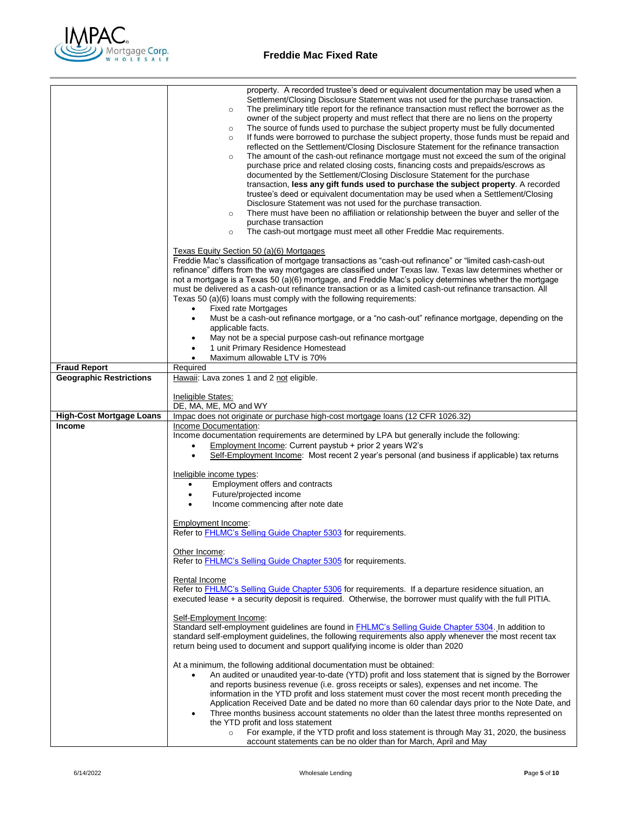

|                                 | property. A recorded trustee's deed or equivalent documentation may be used when a<br>Settlement/Closing Disclosure Statement was not used for the purchase transaction.<br>The preliminary title report for the refinance transaction must reflect the borrower as the<br>$\circ$<br>owner of the subject property and must reflect that there are no liens on the property<br>The source of funds used to purchase the subject property must be fully documented<br>$\circ$<br>If funds were borrowed to purchase the subject property, those funds must be repaid and<br>$\circ$<br>reflected on the Settlement/Closing Disclosure Statement for the refinance transaction<br>The amount of the cash-out refinance mortgage must not exceed the sum of the original<br>$\circ$<br>purchase price and related closing costs, financing costs and prepaids/escrows as<br>documented by the Settlement/Closing Disclosure Statement for the purchase<br>transaction, less any gift funds used to purchase the subject property. A recorded<br>trustee's deed or equivalent documentation may be used when a Settlement/Closing<br>Disclosure Statement was not used for the purchase transaction.<br>There must have been no affiliation or relationship between the buyer and seller of the<br>$\circ$<br>purchase transaction<br>The cash-out mortgage must meet all other Freddie Mac requirements.<br>$\circ$<br>Texas Equity Section 50 (a)(6) Mortgages<br>Freddie Mac's classification of mortgage transactions as "cash-out refinance" or "limited cash-cash-out |
|---------------------------------|--------------------------------------------------------------------------------------------------------------------------------------------------------------------------------------------------------------------------------------------------------------------------------------------------------------------------------------------------------------------------------------------------------------------------------------------------------------------------------------------------------------------------------------------------------------------------------------------------------------------------------------------------------------------------------------------------------------------------------------------------------------------------------------------------------------------------------------------------------------------------------------------------------------------------------------------------------------------------------------------------------------------------------------------------------------------------------------------------------------------------------------------------------------------------------------------------------------------------------------------------------------------------------------------------------------------------------------------------------------------------------------------------------------------------------------------------------------------------------------------------------------------------------------------------------------------------|
|                                 | refinance" differs from the way mortgages are classified under Texas law. Texas law determines whether or<br>not a mortgage is a Texas 50 (a)(6) mortgage, and Freddie Mac's policy determines whether the mortgage<br>must be delivered as a cash-out refinance transaction or as a limited cash-out refinance transaction. All<br>Texas 50 (a)(6) loans must comply with the following requirements:<br><b>Fixed rate Mortgages</b>                                                                                                                                                                                                                                                                                                                                                                                                                                                                                                                                                                                                                                                                                                                                                                                                                                                                                                                                                                                                                                                                                                                                    |
|                                 | $\bullet$<br>Must be a cash-out refinance mortgage, or a "no cash-out" refinance mortgage, depending on the<br>$\bullet$                                                                                                                                                                                                                                                                                                                                                                                                                                                                                                                                                                                                                                                                                                                                                                                                                                                                                                                                                                                                                                                                                                                                                                                                                                                                                                                                                                                                                                                 |
|                                 | applicable facts.<br>May not be a special purpose cash-out refinance mortgage                                                                                                                                                                                                                                                                                                                                                                                                                                                                                                                                                                                                                                                                                                                                                                                                                                                                                                                                                                                                                                                                                                                                                                                                                                                                                                                                                                                                                                                                                            |
|                                 | 1 unit Primary Residence Homestead<br>$\bullet$<br>Maximum allowable LTV is 70%<br>$\bullet$                                                                                                                                                                                                                                                                                                                                                                                                                                                                                                                                                                                                                                                                                                                                                                                                                                                                                                                                                                                                                                                                                                                                                                                                                                                                                                                                                                                                                                                                             |
| <b>Fraud Report</b>             | Required                                                                                                                                                                                                                                                                                                                                                                                                                                                                                                                                                                                                                                                                                                                                                                                                                                                                                                                                                                                                                                                                                                                                                                                                                                                                                                                                                                                                                                                                                                                                                                 |
| <b>Geographic Restrictions</b>  | Hawaii: Lava zones 1 and 2 not eligible.                                                                                                                                                                                                                                                                                                                                                                                                                                                                                                                                                                                                                                                                                                                                                                                                                                                                                                                                                                                                                                                                                                                                                                                                                                                                                                                                                                                                                                                                                                                                 |
|                                 | Ineligible States:<br>DE, MA, ME, MO and WY                                                                                                                                                                                                                                                                                                                                                                                                                                                                                                                                                                                                                                                                                                                                                                                                                                                                                                                                                                                                                                                                                                                                                                                                                                                                                                                                                                                                                                                                                                                              |
| <b>High-Cost Mortgage Loans</b> | Impac does not originate or purchase high-cost mortgage loans (12 CFR 1026.32)                                                                                                                                                                                                                                                                                                                                                                                                                                                                                                                                                                                                                                                                                                                                                                                                                                                                                                                                                                                                                                                                                                                                                                                                                                                                                                                                                                                                                                                                                           |
| <b>Income</b>                   | Income Documentation:<br>Income documentation requirements are determined by LPA but generally include the following:<br>Employment Income: Current paystub + prior 2 years W2's<br>$\bullet$<br>Self-Employment Income: Most recent 2 year's personal (and business if applicable) tax returns                                                                                                                                                                                                                                                                                                                                                                                                                                                                                                                                                                                                                                                                                                                                                                                                                                                                                                                                                                                                                                                                                                                                                                                                                                                                          |
|                                 | Ineligible income types:<br>Employment offers and contracts<br>$\bullet$<br>Future/projected income<br>$\bullet$                                                                                                                                                                                                                                                                                                                                                                                                                                                                                                                                                                                                                                                                                                                                                                                                                                                                                                                                                                                                                                                                                                                                                                                                                                                                                                                                                                                                                                                         |
|                                 | Income commencing after note date                                                                                                                                                                                                                                                                                                                                                                                                                                                                                                                                                                                                                                                                                                                                                                                                                                                                                                                                                                                                                                                                                                                                                                                                                                                                                                                                                                                                                                                                                                                                        |
|                                 | Employment Income:<br>Refer to FHLMC's Selling Guide Chapter 5303 for requirements.                                                                                                                                                                                                                                                                                                                                                                                                                                                                                                                                                                                                                                                                                                                                                                                                                                                                                                                                                                                                                                                                                                                                                                                                                                                                                                                                                                                                                                                                                      |
|                                 | Other Income:<br>Refer to FHLMC's Selling Guide Chapter 5305 for requirements.                                                                                                                                                                                                                                                                                                                                                                                                                                                                                                                                                                                                                                                                                                                                                                                                                                                                                                                                                                                                                                                                                                                                                                                                                                                                                                                                                                                                                                                                                           |
|                                 | <b>Rental Income</b><br>Refer to <b>FHLMC's Selling Guide Chapter 5306</b> for requirements. If a departure residence situation, an<br>executed lease + a security deposit is required. Otherwise, the borrower must qualify with the full PITIA.                                                                                                                                                                                                                                                                                                                                                                                                                                                                                                                                                                                                                                                                                                                                                                                                                                                                                                                                                                                                                                                                                                                                                                                                                                                                                                                        |
|                                 | Self-Employment Income:<br>Standard self-employment guidelines are found in <b>FHLMC's Selling Guide Chapter 5304</b> . In addition to<br>standard self-employment guidelines, the following requirements also apply whenever the most recent tax<br>return being used to document and support qualifying income is older than 2020                                                                                                                                                                                                                                                                                                                                                                                                                                                                                                                                                                                                                                                                                                                                                                                                                                                                                                                                                                                                                                                                                                                                                                                                                                      |
|                                 | At a minimum, the following additional documentation must be obtained:<br>An audited or unaudited year-to-date (YTD) profit and loss statement that is signed by the Borrower<br>$\bullet$<br>and reports business revenue (i.e. gross receipts or sales), expenses and net income. The<br>information in the YTD profit and loss statement must cover the most recent month preceding the<br>Application Received Date and be dated no more than 60 calendar days prior to the Note Date, and<br>Three months business account statements no older than the latest three months represented on<br>$\bullet$<br>the YTD profit and loss statement<br>For example, if the YTD profit and loss statement is through May 31, 2020, the business<br>$\circ$<br>account statements can be no older than for March, April and May                                                                                                                                                                                                                                                                                                                                                                                                                                                                                                                                                                                                                                                                                                                                              |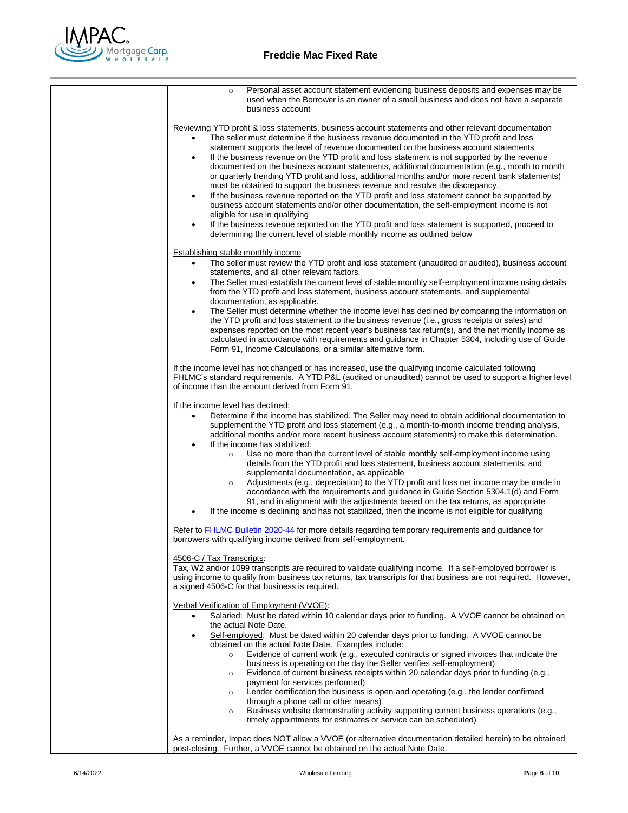

| Personal asset account statement evidencing business deposits and expenses may be<br>$\circ$<br>used when the Borrower is an owner of a small business and does not have a separate<br>business account                                                                                                                                                                                                              |
|----------------------------------------------------------------------------------------------------------------------------------------------------------------------------------------------------------------------------------------------------------------------------------------------------------------------------------------------------------------------------------------------------------------------|
|                                                                                                                                                                                                                                                                                                                                                                                                                      |
| <u>Reviewing YTD profit &amp; loss statements, business account statements and other relevant documentation</u><br>The seller must determine if the business revenue documented in the YTD profit and loss                                                                                                                                                                                                           |
| statement supports the level of revenue documented on the business account statements<br>If the business revenue on the YTD profit and loss statement is not supported by the revenue<br>$\bullet$                                                                                                                                                                                                                   |
| documented on the business account statements, additional documentation (e.g., month to month<br>or quarterly trending YTD profit and loss, additional months and/or more recent bank statements)                                                                                                                                                                                                                    |
| must be obtained to support the business revenue and resolve the discrepancy.<br>If the business revenue reported on the YTD profit and loss statement cannot be supported by<br>$\bullet$                                                                                                                                                                                                                           |
| business account statements and/or other documentation, the self-employment income is not<br>eligible for use in qualifying                                                                                                                                                                                                                                                                                          |
| If the business revenue reported on the YTD profit and loss statement is supported, proceed to<br>$\bullet$<br>determining the current level of stable monthly income as outlined below                                                                                                                                                                                                                              |
| <b>Establishing stable monthly income</b>                                                                                                                                                                                                                                                                                                                                                                            |
| The seller must review the YTD profit and loss statement (unaudited or audited), business account<br>$\bullet$                                                                                                                                                                                                                                                                                                       |
| statements, and all other relevant factors.                                                                                                                                                                                                                                                                                                                                                                          |
| The Seller must establish the current level of stable monthly self-employment income using details<br>$\bullet$<br>from the YTD profit and loss statement, business account statements, and supplemental<br>documentation, as applicable.                                                                                                                                                                            |
| The Seller must determine whether the income level has declined by comparing the information on<br>$\bullet$<br>the YTD profit and loss statement to the business revenue (i.e., gross receipts or sales) and<br>expenses reported on the most recent year's business tax return(s), and the net montly income as<br>calculated in accordance with requirements and guidance in Chapter 5304, including use of Guide |
| Form 91, Income Calculations, or a similar alternative form.                                                                                                                                                                                                                                                                                                                                                         |
| If the income level has not changed or has increased, use the qualifying income calculated following<br>FHLMC's standard requirements. A YTD P&L (audited or unaudited) cannot be used to support a higher level<br>of income than the amount derived from Form 91.                                                                                                                                                  |
| If the income level has declined:                                                                                                                                                                                                                                                                                                                                                                                    |
| Determine if the income has stabilized. The Seller may need to obtain additional documentation to<br>٠<br>supplement the YTD profit and loss statement (e.g., a month-to-month income trending analysis,<br>additional months and/or more recent business account statements) to make this determination.                                                                                                            |
| If the income has stabilized:<br>٠<br>Use no more than the current level of stable monthly self-employment income using<br>$\circ$<br>details from the YTD profit and loss statement, business account statements, and<br>supplemental documentation, as applicable                                                                                                                                                  |
| Adjustments (e.g., depreciation) to the YTD profit and loss net income may be made in<br>$\circ$<br>accordance with the requirements and guidance in Guide Section 5304.1(d) and Form<br>91, and in alignment with the adjustments based on the tax returns, as appropriate<br>If the income is declining and has not stabilized, then the income is not eligible for qualifying                                     |
| Refer to FHLMC Bulletin 2020-44 for more details regarding temporary requirements and guidance for<br>borrowers with qualifying income derived from self-employment.                                                                                                                                                                                                                                                 |
| 4506-C / Tax Transcripts:                                                                                                                                                                                                                                                                                                                                                                                            |
| Tax, W2 and/or 1099 transcripts are required to validate qualifying income. If a self-employed borrower is<br>using income to qualify from business tax returns, tax transcripts for that business are not required. However,<br>a signed 4506-C for that business is required.                                                                                                                                      |
| Verbal Verification of Employment (VVOE):<br>Salaried: Must be dated within 10 calendar days prior to funding. A VVOE cannot be obtained on                                                                                                                                                                                                                                                                          |
| the actual Note Date.<br>Self-employed: Must be dated within 20 calendar days prior to funding. A VVOE cannot be<br>٠                                                                                                                                                                                                                                                                                                |
| obtained on the actual Note Date. Examples include:<br>Evidence of current work (e.g., executed contracts or signed invoices that indicate the<br>$\circ$<br>business is operating on the day the Seller verifies self-employment)                                                                                                                                                                                   |
| Evidence of current business receipts within 20 calendar days prior to funding (e.g.,<br>$\circ$<br>payment for services performed)                                                                                                                                                                                                                                                                                  |
| Lender certification the business is open and operating (e.g., the lender confirmed<br>$\circ$<br>through a phone call or other means)                                                                                                                                                                                                                                                                               |
| Business website demonstrating activity supporting current business operations (e.g.,<br>$\circ$<br>timely appointments for estimates or service can be scheduled)                                                                                                                                                                                                                                                   |
| As a reminder, Impac does NOT allow a VVOE (or alternative documentation detailed herein) to be obtained<br>post-closing. Further, a VVOE cannot be obtained on the actual Note Date.                                                                                                                                                                                                                                |
|                                                                                                                                                                                                                                                                                                                                                                                                                      |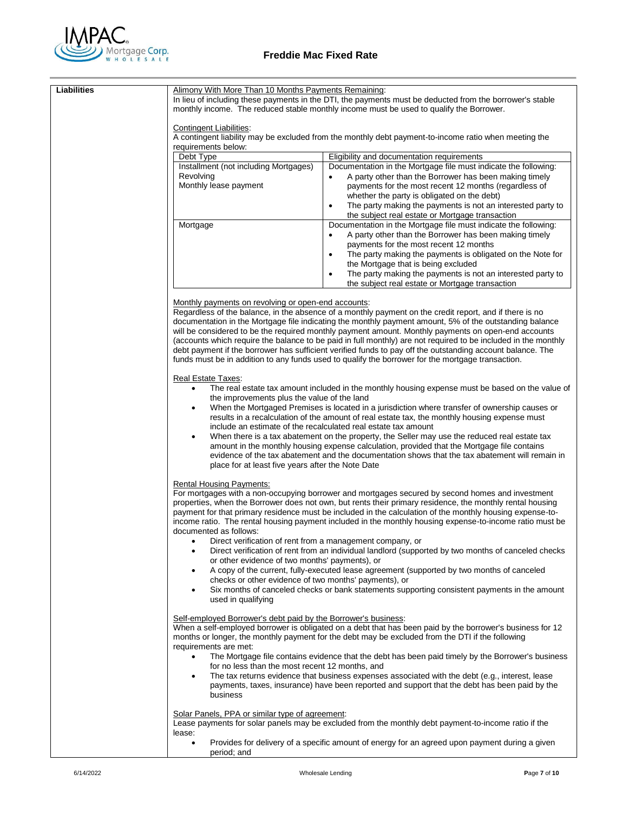

| <b>Liabilities</b> | Alimony With More Than 10 Months Payments Remaining:<br>Contingent Liabilities:<br>requirements below:<br>Debt Type<br>Installment (not including Mortgages)<br>Revolving<br>Monthly lease payment<br>Mortgage                                                                                                                                                                                                                                                                                                                                                                                                                                                                                                                                                                                                                                                                                                                                                                                                                                                                                                                                                                                                                                                                                                                                                                                                                                                                                                                                | In lieu of including these payments in the DTI, the payments must be deducted from the borrower's stable<br>monthly income. The reduced stable monthly income must be used to qualify the Borrower.<br>A contingent liability may be excluded from the monthly debt payment-to-income ratio when meeting the<br>Eligibility and documentation requirements<br>Documentation in the Mortgage file must indicate the following:<br>A party other than the Borrower has been making timely<br>$\bullet$<br>payments for the most recent 12 months (regardless of<br>whether the party is obligated on the debt)<br>The party making the payments is not an interested party to<br>$\bullet$<br>the subject real estate or Mortgage transaction<br>Documentation in the Mortgage file must indicate the following: |  |  |
|--------------------|-----------------------------------------------------------------------------------------------------------------------------------------------------------------------------------------------------------------------------------------------------------------------------------------------------------------------------------------------------------------------------------------------------------------------------------------------------------------------------------------------------------------------------------------------------------------------------------------------------------------------------------------------------------------------------------------------------------------------------------------------------------------------------------------------------------------------------------------------------------------------------------------------------------------------------------------------------------------------------------------------------------------------------------------------------------------------------------------------------------------------------------------------------------------------------------------------------------------------------------------------------------------------------------------------------------------------------------------------------------------------------------------------------------------------------------------------------------------------------------------------------------------------------------------------|----------------------------------------------------------------------------------------------------------------------------------------------------------------------------------------------------------------------------------------------------------------------------------------------------------------------------------------------------------------------------------------------------------------------------------------------------------------------------------------------------------------------------------------------------------------------------------------------------------------------------------------------------------------------------------------------------------------------------------------------------------------------------------------------------------------|--|--|
|                    |                                                                                                                                                                                                                                                                                                                                                                                                                                                                                                                                                                                                                                                                                                                                                                                                                                                                                                                                                                                                                                                                                                                                                                                                                                                                                                                                                                                                                                                                                                                                               | A party other than the Borrower has been making timely<br>$\bullet$<br>payments for the most recent 12 months<br>The party making the payments is obligated on the Note for<br>$\bullet$<br>the Mortgage that is being excluded<br>The party making the payments is not an interested party to<br>$\bullet$<br>the subject real estate or Mortgage transaction                                                                                                                                                                                                                                                                                                                                                                                                                                                 |  |  |
|                    | Monthly payments on revolving or open-end accounts:<br>Regardless of the balance, in the absence of a monthly payment on the credit report, and if there is no<br>documentation in the Mortgage file indicating the monthly payment amount, 5% of the outstanding balance<br>will be considered to be the required monthly payment amount. Monthly payments on open-end accounts<br>(accounts which require the balance to be paid in full monthly) are not required to be included in the monthly<br>debt payment if the borrower has sufficient verified funds to pay off the outstanding account balance. The<br>funds must be in addition to any funds used to qualify the borrower for the mortgage transaction.<br>Real Estate Taxes:<br>The real estate tax amount included in the monthly housing expense must be based on the value of<br>the improvements plus the value of the land<br>When the Mortgaged Premises is located in a jurisdiction where transfer of ownership causes or<br>٠<br>results in a recalculation of the amount of real estate tax, the monthly housing expense must<br>include an estimate of the recalculated real estate tax amount<br>When there is a tax abatement on the property, the Seller may use the reduced real estate tax<br>$\bullet$<br>amount in the monthly housing expense calculation, provided that the Mortgage file contains<br>evidence of the tax abatement and the documentation shows that the tax abatement will remain in<br>place for at least five years after the Note Date |                                                                                                                                                                                                                                                                                                                                                                                                                                                                                                                                                                                                                                                                                                                                                                                                                |  |  |
|                    | <b>Rental Housing Payments:</b><br>For mortgages with a non-occupying borrower and mortgages secured by second homes and investment<br>properties, when the Borrower does not own, but rents their primary residence, the monthly rental housing<br>payment for that primary residence must be included in the calculation of the monthly housing expense-to-<br>income ratio. The rental housing payment included in the monthly housing expense-to-income ratio must be<br>documented as follows:<br>Direct verification of rent from a management company, or<br>Direct verification of rent from an individual landlord (supported by two months of canceled checks<br>٠<br>or other evidence of two months' payments), or<br>A copy of the current, fully-executed lease agreement (supported by two months of canceled<br>٠<br>checks or other evidence of two months' payments), or<br>Six months of canceled checks or bank statements supporting consistent payments in the amount<br>٠<br>used in qualifying                                                                                                                                                                                                                                                                                                                                                                                                                                                                                                                        |                                                                                                                                                                                                                                                                                                                                                                                                                                                                                                                                                                                                                                                                                                                                                                                                                |  |  |
|                    | Self-employed Borrower's debt paid by the Borrower's business:<br>When a self-employed borrower is obligated on a debt that has been paid by the borrower's business for 12<br>months or longer, the monthly payment for the debt may be excluded from the DTI if the following<br>requirements are met:<br>The Mortgage file contains evidence that the debt has been paid timely by the Borrower's business<br>for no less than the most recent 12 months, and<br>The tax returns evidence that business expenses associated with the debt (e.g., interest, lease<br>payments, taxes, insurance) have been reported and support that the debt has been paid by the<br>business                                                                                                                                                                                                                                                                                                                                                                                                                                                                                                                                                                                                                                                                                                                                                                                                                                                              |                                                                                                                                                                                                                                                                                                                                                                                                                                                                                                                                                                                                                                                                                                                                                                                                                |  |  |
|                    | Solar Panels, PPA or similar type of agreement:<br>lease:<br>$\bullet$<br>period; and                                                                                                                                                                                                                                                                                                                                                                                                                                                                                                                                                                                                                                                                                                                                                                                                                                                                                                                                                                                                                                                                                                                                                                                                                                                                                                                                                                                                                                                         | Lease payments for solar panels may be excluded from the monthly debt payment-to-income ratio if the<br>Provides for delivery of a specific amount of energy for an agreed upon payment during a given                                                                                                                                                                                                                                                                                                                                                                                                                                                                                                                                                                                                         |  |  |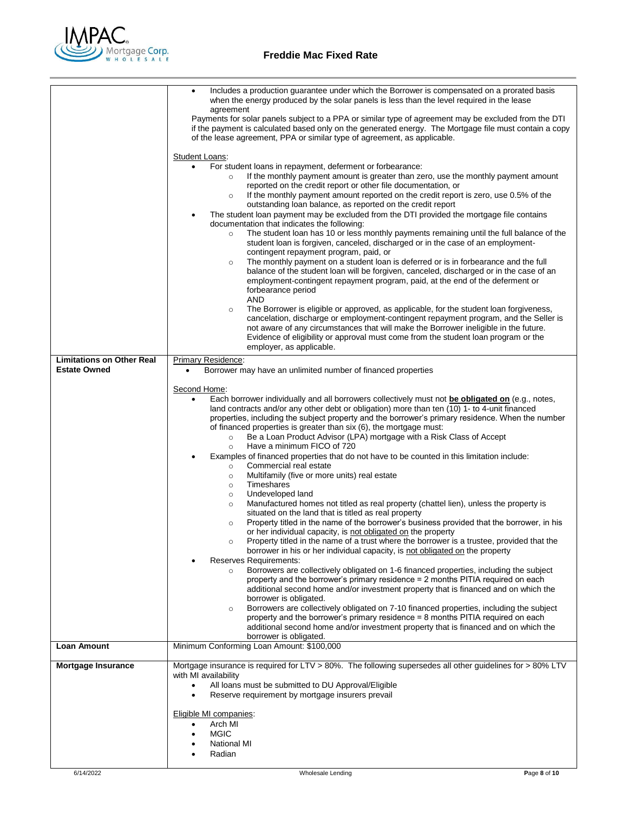

|                                                         | Includes a production guarantee under which the Borrower is compensated on a prorated basis<br>$\bullet$<br>when the energy produced by the solar panels is less than the level required in the lease<br>agreement<br>Payments for solar panels subject to a PPA or similar type of agreement may be excluded from the DTI<br>if the payment is calculated based only on the generated energy. The Mortgage file must contain a copy<br>of the lease agreement, PPA or similar type of agreement, as applicable.                                                                                                                                                                                                                                                                                                                                                                                                                                                                                                                                                                                                                                                                                                                                                                                                                                                                                                                                                                                                                                                                                                                                                                                                                                                                                                                                                                                                                                                 |  |  |  |
|---------------------------------------------------------|------------------------------------------------------------------------------------------------------------------------------------------------------------------------------------------------------------------------------------------------------------------------------------------------------------------------------------------------------------------------------------------------------------------------------------------------------------------------------------------------------------------------------------------------------------------------------------------------------------------------------------------------------------------------------------------------------------------------------------------------------------------------------------------------------------------------------------------------------------------------------------------------------------------------------------------------------------------------------------------------------------------------------------------------------------------------------------------------------------------------------------------------------------------------------------------------------------------------------------------------------------------------------------------------------------------------------------------------------------------------------------------------------------------------------------------------------------------------------------------------------------------------------------------------------------------------------------------------------------------------------------------------------------------------------------------------------------------------------------------------------------------------------------------------------------------------------------------------------------------------------------------------------------------------------------------------------------------|--|--|--|
|                                                         |                                                                                                                                                                                                                                                                                                                                                                                                                                                                                                                                                                                                                                                                                                                                                                                                                                                                                                                                                                                                                                                                                                                                                                                                                                                                                                                                                                                                                                                                                                                                                                                                                                                                                                                                                                                                                                                                                                                                                                  |  |  |  |
|                                                         | <b>Student Loans:</b><br>For student loans in repayment, deferment or forbearance:<br>$\bullet$<br>If the monthly payment amount is greater than zero, use the monthly payment amount<br>reported on the credit report or other file documentation, or<br>If the monthly payment amount reported on the credit report is zero, use 0.5% of the<br>$\circ$<br>outstanding loan balance, as reported on the credit report<br>The student loan payment may be excluded from the DTI provided the mortgage file contains<br>documentation that indicates the following:<br>The student loan has 10 or less monthly payments remaining until the full balance of the<br>$\circ$<br>student loan is forgiven, canceled, discharged or in the case of an employment-<br>contingent repayment program, paid, or<br>The monthly payment on a student loan is deferred or is in forbearance and the full<br>$\circ$<br>balance of the student loan will be forgiven, canceled, discharged or in the case of an<br>employment-contingent repayment program, paid, at the end of the deferment or<br>forbearance period<br>AND<br>The Borrower is eligible or approved, as applicable, for the student loan forgiveness,<br>$\circ$<br>cancelation, discharge or employment-contingent repayment program, and the Seller is<br>not aware of any circumstances that will make the Borrower ineligible in the future.<br>Evidence of eligibility or approval must come from the student loan program or the<br>employer, as applicable.                                                                                                                                                                                                                                                                                                                                                                                                                                        |  |  |  |
| <b>Limitations on Other Real</b><br><b>Estate Owned</b> | Primary Residence:<br>Borrower may have an unlimited number of financed properties                                                                                                                                                                                                                                                                                                                                                                                                                                                                                                                                                                                                                                                                                                                                                                                                                                                                                                                                                                                                                                                                                                                                                                                                                                                                                                                                                                                                                                                                                                                                                                                                                                                                                                                                                                                                                                                                               |  |  |  |
|                                                         | Second Home:<br>Each borrower individually and all borrowers collectively must not be obligated on (e.g., notes,<br>$\bullet$<br>land contracts and/or any other debt or obligation) more than ten (10) 1- to 4-unit financed<br>properties, including the subject property and the borrower's primary residence. When the number<br>of financed properties is greater than six (6), the mortgage must:<br>Be a Loan Product Advisor (LPA) mortgage with a Risk Class of Accept<br>$\circ$<br>Have a minimum FICO of 720<br>$\circ$<br>Examples of financed properties that do not have to be counted in this limitation include:<br>Commercial real estate<br>$\circ$<br>Multifamily (five or more units) real estate<br>$\circ$<br>Timeshares<br>$\circ$<br>Undeveloped land<br>$\circ$<br>Manufactured homes not titled as real property (chattel lien), unless the property is<br>$\circ$<br>situated on the land that is titled as real property<br>Property titled in the name of the borrower's business provided that the borrower, in his<br>$\circ$<br>or her individual capacity, is not obligated on the property<br>Property titled in the name of a trust where the borrower is a trustee, provided that the<br>borrower in his or her individual capacity, is not obligated on the property<br><b>Reserves Requirements:</b><br>Borrowers are collectively obligated on 1-6 financed properties, including the subject<br>$\circ$<br>property and the borrower's primary residence = 2 months PITIA required on each<br>additional second home and/or investment property that is financed and on which the<br>borrower is obligated.<br>Borrowers are collectively obligated on 7-10 financed properties, including the subject<br>$\circ$<br>property and the borrower's primary residence $= 8$ months PITIA required on each<br>additional second home and/or investment property that is financed and on which the<br>borrower is obligated. |  |  |  |
| <b>Loan Amount</b>                                      | Minimum Conforming Loan Amount: \$100,000                                                                                                                                                                                                                                                                                                                                                                                                                                                                                                                                                                                                                                                                                                                                                                                                                                                                                                                                                                                                                                                                                                                                                                                                                                                                                                                                                                                                                                                                                                                                                                                                                                                                                                                                                                                                                                                                                                                        |  |  |  |
| Mortgage Insurance                                      | Mortgage insurance is required for LTV > 80%. The following supersedes all other guidelines for > 80% LTV<br>with MI availability<br>All loans must be submitted to DU Approval/Eligible<br>Reserve requirement by mortgage insurers prevail<br>$\bullet$<br>Eligible MI companies:<br>Arch MI<br><b>MGIC</b><br><b>National MI</b><br>Radian                                                                                                                                                                                                                                                                                                                                                                                                                                                                                                                                                                                                                                                                                                                                                                                                                                                                                                                                                                                                                                                                                                                                                                                                                                                                                                                                                                                                                                                                                                                                                                                                                    |  |  |  |
|                                                         |                                                                                                                                                                                                                                                                                                                                                                                                                                                                                                                                                                                                                                                                                                                                                                                                                                                                                                                                                                                                                                                                                                                                                                                                                                                                                                                                                                                                                                                                                                                                                                                                                                                                                                                                                                                                                                                                                                                                                                  |  |  |  |
| 6/14/2022                                               | Wholesale Lending<br>Page 8 of 10                                                                                                                                                                                                                                                                                                                                                                                                                                                                                                                                                                                                                                                                                                                                                                                                                                                                                                                                                                                                                                                                                                                                                                                                                                                                                                                                                                                                                                                                                                                                                                                                                                                                                                                                                                                                                                                                                                                                |  |  |  |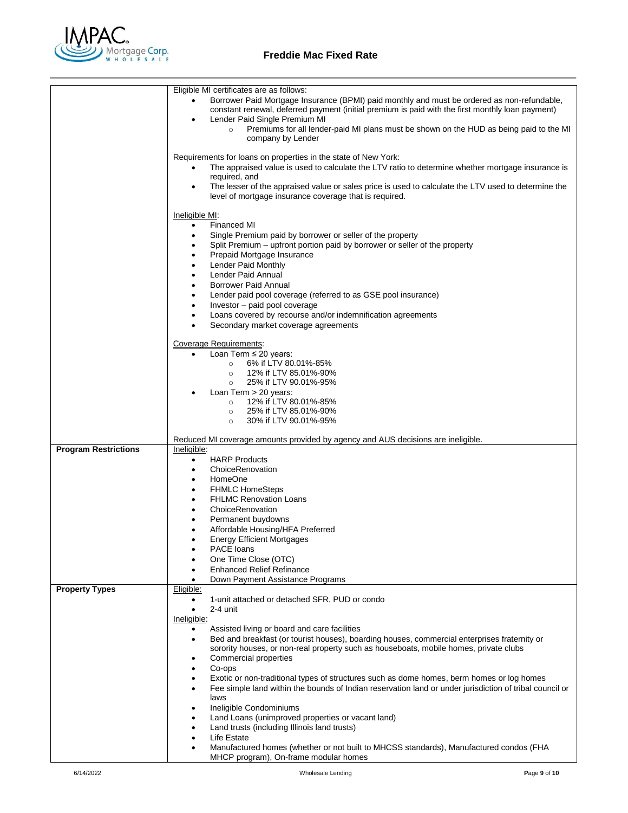

## **Freddie Mac Fixed Rate**

|                             | Eligible MI certificates are as follows:                                                                                                                                                           |  |  |  |
|-----------------------------|----------------------------------------------------------------------------------------------------------------------------------------------------------------------------------------------------|--|--|--|
|                             | Borrower Paid Mortgage Insurance (BPMI) paid monthly and must be ordered as non-refundable,<br>constant renewal, deferred payment (initial premium is paid with the first monthly loan payment)    |  |  |  |
|                             | Lender Paid Single Premium MI<br>٠<br>Premiums for all lender-paid MI plans must be shown on the HUD as being paid to the MI<br>$\circ$<br>company by Lender                                       |  |  |  |
|                             |                                                                                                                                                                                                    |  |  |  |
|                             | Requirements for loans on properties in the state of New York:<br>The appraised value is used to calculate the LTV ratio to determine whether mortgage insurance is                                |  |  |  |
|                             | required, and<br>The lesser of the appraised value or sales price is used to calculate the LTV used to determine the<br>٠                                                                          |  |  |  |
|                             | level of mortgage insurance coverage that is required.                                                                                                                                             |  |  |  |
|                             | Ineligible MI:                                                                                                                                                                                     |  |  |  |
|                             | <b>Financed MI</b><br>$\bullet$<br>Single Premium paid by borrower or seller of the property<br>٠                                                                                                  |  |  |  |
|                             | Split Premium – upfront portion paid by borrower or seller of the property<br>٠                                                                                                                    |  |  |  |
|                             | Prepaid Mortgage Insurance<br>٠                                                                                                                                                                    |  |  |  |
|                             | Lender Paid Monthly<br>٠<br>Lender Paid Annual                                                                                                                                                     |  |  |  |
|                             | <b>Borrower Paid Annual</b><br>$\bullet$                                                                                                                                                           |  |  |  |
|                             | Lender paid pool coverage (referred to as GSE pool insurance)<br>٠                                                                                                                                 |  |  |  |
|                             | Investor - paid pool coverage<br>٠                                                                                                                                                                 |  |  |  |
|                             | Loans covered by recourse and/or indemnification agreements<br>٠                                                                                                                                   |  |  |  |
|                             | Secondary market coverage agreements<br>$\bullet$                                                                                                                                                  |  |  |  |
|                             | Coverage Requirements:                                                                                                                                                                             |  |  |  |
|                             | Loan Term ≤ 20 years:<br>$\bullet$<br>6% if LTV 80.01%-85%                                                                                                                                         |  |  |  |
|                             | $\circ$<br>12% if LTV 85.01%-90%<br>$\circ$                                                                                                                                                        |  |  |  |
|                             | 25% if LTV 90.01%-95%<br>$\circ$                                                                                                                                                                   |  |  |  |
|                             | Loan Term > 20 years:                                                                                                                                                                              |  |  |  |
|                             | 12% if LTV 80.01%-85%<br>$\circ$<br>25% if LTV 85.01%-90%<br>$\circ$                                                                                                                               |  |  |  |
|                             | 30% if LTV 90.01%-95%<br>$\circ$                                                                                                                                                                   |  |  |  |
|                             |                                                                                                                                                                                                    |  |  |  |
|                             |                                                                                                                                                                                                    |  |  |  |
|                             | Reduced MI coverage amounts provided by agency and AUS decisions are ineligible.<br>Ineligible:                                                                                                    |  |  |  |
| <b>Program Restrictions</b> | <b>HARP Products</b><br>$\bullet$                                                                                                                                                                  |  |  |  |
|                             | ChoiceRenovation<br>$\bullet$                                                                                                                                                                      |  |  |  |
|                             | HomeOne<br>$\bullet$                                                                                                                                                                               |  |  |  |
|                             | <b>FHMLC HomeSteps</b><br>٠<br>$\bullet$                                                                                                                                                           |  |  |  |
|                             | <b>FHLMC Renovation Loans</b><br>ChoiceRenovation                                                                                                                                                  |  |  |  |
|                             | Permanent buydowns<br>٠                                                                                                                                                                            |  |  |  |
|                             | Affordable Housing/HFA Preferred<br>٠                                                                                                                                                              |  |  |  |
|                             | <b>Energy Efficient Mortgages</b><br>٠                                                                                                                                                             |  |  |  |
|                             | PACE loans<br>One Time Close (OTC)                                                                                                                                                                 |  |  |  |
|                             | <b>Enhanced Relief Refinance</b>                                                                                                                                                                   |  |  |  |
|                             | Down Payment Assistance Programs                                                                                                                                                                   |  |  |  |
| <b>Property Types</b>       | Eligible:<br>٠                                                                                                                                                                                     |  |  |  |
|                             | 1-unit attached or detached SFR, PUD or condo<br>2-4 unit<br>$\bullet$                                                                                                                             |  |  |  |
|                             | Ineligible:                                                                                                                                                                                        |  |  |  |
|                             | Assisted living or board and care facilities                                                                                                                                                       |  |  |  |
|                             | Bed and breakfast (or tourist houses), boarding houses, commercial enterprises fraternity or<br>$\bullet$<br>sorority houses, or non-real property such as houseboats, mobile homes, private clubs |  |  |  |
|                             | Commercial properties                                                                                                                                                                              |  |  |  |
|                             | Co-ops<br>$\bullet$                                                                                                                                                                                |  |  |  |
|                             | Exotic or non-traditional types of structures such as dome homes, berm homes or log homes                                                                                                          |  |  |  |
|                             | Fee simple land within the bounds of Indian reservation land or under jurisdiction of tribal council or<br>laws                                                                                    |  |  |  |
|                             | Ineligible Condominiums                                                                                                                                                                            |  |  |  |
|                             | Land Loans (unimproved properties or vacant land)<br>$\bullet$                                                                                                                                     |  |  |  |
|                             | Land trusts (including Illinois land trusts)                                                                                                                                                       |  |  |  |
|                             | Life Estate<br>Manufactured homes (whether or not built to MHCSS standards), Manufactured condos (FHA                                                                                              |  |  |  |